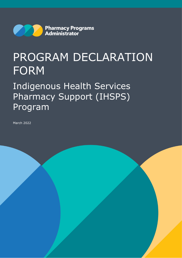

Indigenous Health Services Pharmacy Support (IHSPS) Program

March 2022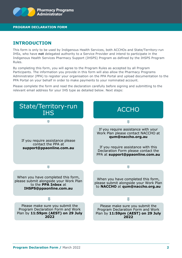

## **INTRODUCTION**

This form is only to be used by Indigenous Health Services, both ACCHOs and State/Territory-run IHSs, who have **not** delegated authority to a Service Provider and intend to participate in the Indigenous Health Services Pharmacy Support (IHSPS) Program as defined by the IHSPS Program Rules.

By completing this form, you will agree to the Program Rules as accepted by all Program Participants. The information you provide in this form will also allow the Pharmacy Programs Administrator (PPA) to register your organisation on the PPA Portal and upload documentation to the PPA Portal on your behalf in order to make payments to your nominated account.

Please complete the form and read the declaration carefully before signing and submitting to the relevant email address for your IHS type as detailed below. Next steps:

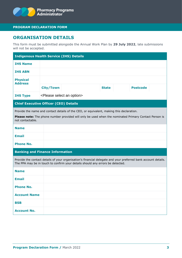

## **ORGANISATION DETAILS**

This form must be submitted alongside the Annual Work Plan by **29 July 2022**, late submissions will not be accepted.

| <b>Indigenous Health Service (IHS) Details</b>                                                                                                                                                                        |                                             |  |              |  |                 |  |  |
|-----------------------------------------------------------------------------------------------------------------------------------------------------------------------------------------------------------------------|---------------------------------------------|--|--------------|--|-----------------|--|--|
| <b>IHS Name</b>                                                                                                                                                                                                       |                                             |  |              |  |                 |  |  |
| <b>IHS ABN</b>                                                                                                                                                                                                        |                                             |  |              |  |                 |  |  |
| <b>Physical</b><br><b>Address</b>                                                                                                                                                                                     |                                             |  |              |  |                 |  |  |
|                                                                                                                                                                                                                       | <b>City/Town</b>                            |  | <b>State</b> |  | <b>Postcode</b> |  |  |
| <b>IHS Type</b>                                                                                                                                                                                                       | <please an="" option="" select=""></please> |  |              |  |                 |  |  |
| <b>Chief Executive Officer (CEO) Details</b>                                                                                                                                                                          |                                             |  |              |  |                 |  |  |
| Provide the name and contact details of the CEO, or equivalent, making this declaration.<br>Please note: The phone number provided will only be used when the nominated Primary Contact Person is<br>not contactable. |                                             |  |              |  |                 |  |  |
| <b>Name</b>                                                                                                                                                                                                           |                                             |  |              |  |                 |  |  |
| <b>Email</b>                                                                                                                                                                                                          |                                             |  |              |  |                 |  |  |
| <b>Phone No.</b>                                                                                                                                                                                                      |                                             |  |              |  |                 |  |  |
| <b>Banking and Finance Information</b>                                                                                                                                                                                |                                             |  |              |  |                 |  |  |
| Provide the contact details of your organisation's financial delegate and your preferred bank account details.<br>The PPA may be in touch to confirm your details should any errors be detected.                      |                                             |  |              |  |                 |  |  |
| <b>Name</b>                                                                                                                                                                                                           |                                             |  |              |  |                 |  |  |
| <b>Email</b>                                                                                                                                                                                                          |                                             |  |              |  |                 |  |  |
| <b>Phone No.</b>                                                                                                                                                                                                      |                                             |  |              |  |                 |  |  |
| <b>Account Name</b>                                                                                                                                                                                                   |                                             |  |              |  |                 |  |  |
| <b>BSB</b>                                                                                                                                                                                                            |                                             |  |              |  |                 |  |  |
| <b>Account No.</b>                                                                                                                                                                                                    |                                             |  |              |  |                 |  |  |